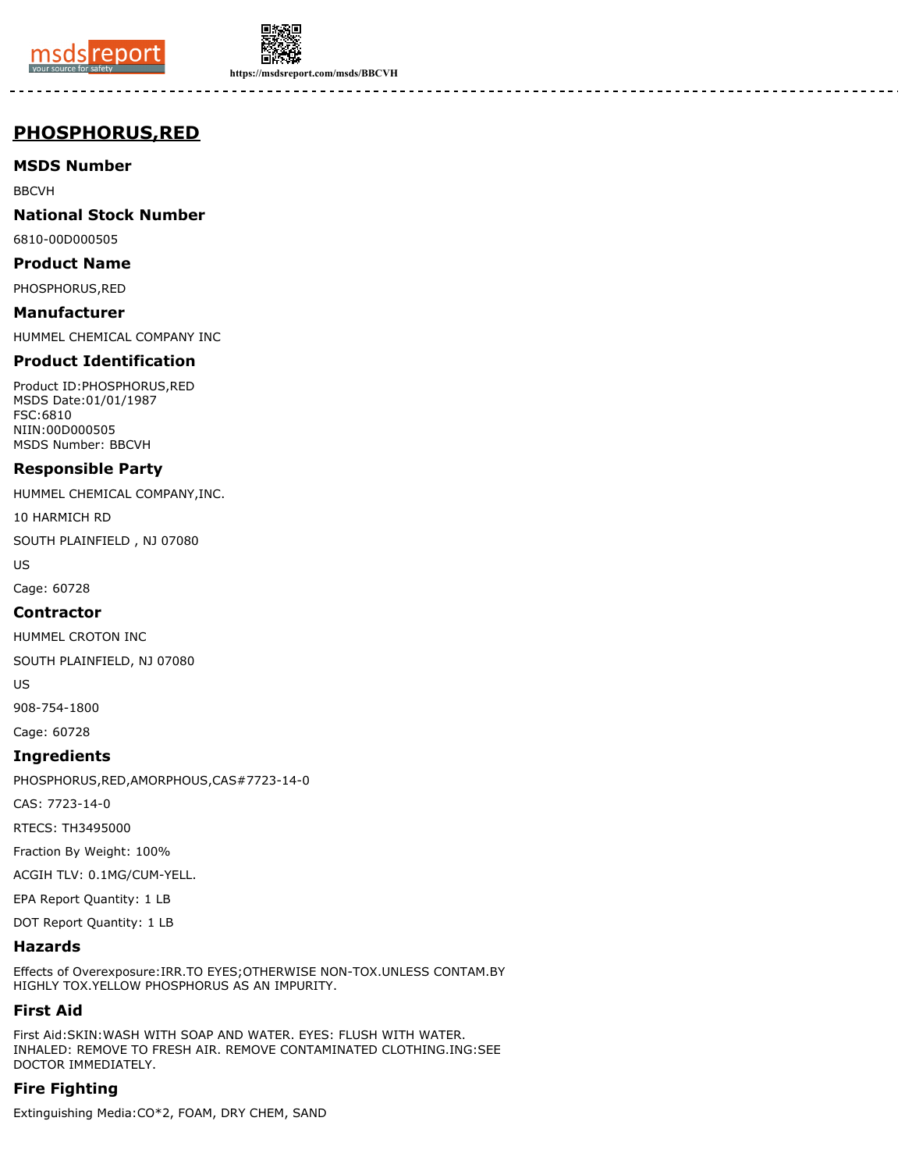



**https://msdsreport.com/msds/BBCVH**

# **PHOSPHORUS,RED**

**MSDS Number**

BBCVH

**National Stock Number**

6810-00D000505

**Product Name**

PHOSPHORUS,RED

**Manufacturer** HUMMEL CHEMICAL COMPANY INC

## **Product Identification**

Product ID:PHOSPHORUS,RED MSDS Date:01/01/1987 FSC:6810 NIIN:00D000505 MSDS Number: BBCVH

## **Responsible Party**

HUMMEL CHEMICAL COMPANY,INC.

10 HARMICH RD

SOUTH PLAINFIELD , NJ 07080

US

Cage: 60728

### **Contractor**

HUMMEL CROTON INC

SOUTH PLAINFIELD, NJ 07080

US

908-754-1800

Cage: 60728

## **Ingredients**

PHOSPHORUS,RED,AMORPHOUS,CAS#7723-14-0

CAS: 7723-14-0

RTECS: TH3495000

Fraction By Weight: 100%

ACGIH TLV: 0.1MG/CUM-YELL.

EPA Report Quantity: 1 LB

DOT Report Quantity: 1 LB

## **Hazards**

Effects of Overexposure:IRR.TO EYES;OTHERWISE NON-TOX.UNLESS CONTAM.BY HIGHLY TOX.YELLOW PHOSPHORUS AS AN IMPURITY.

# **First Aid**

First Aid:SKIN:WASH WITH SOAP AND WATER. EYES: FLUSH WITH WATER. INHALED: REMOVE TO FRESH AIR. REMOVE CONTAMINATED CLOTHING.ING:SEE DOCTOR IMMEDIATELY.

# **Fire Fighting**

Extinguishing Media:CO\*2, FOAM, DRY CHEM, SAND